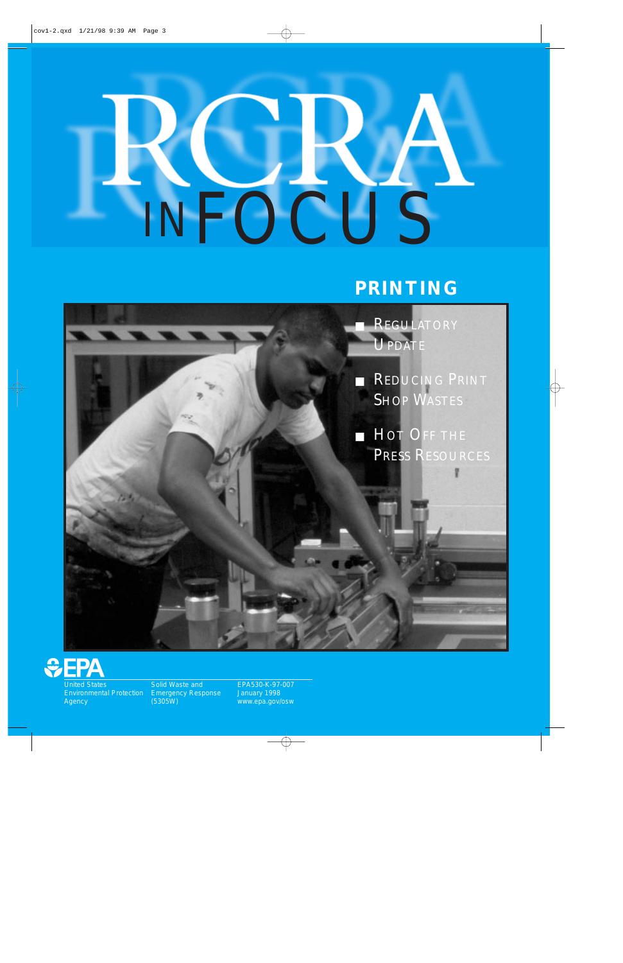# Ą INFOCUS

## **PRINTING**





United States Environmental Protection Agency

Solid Waste and Emergency Response (5305W)

EPA530-K-97-007 January 1998 www.epa.gov/osw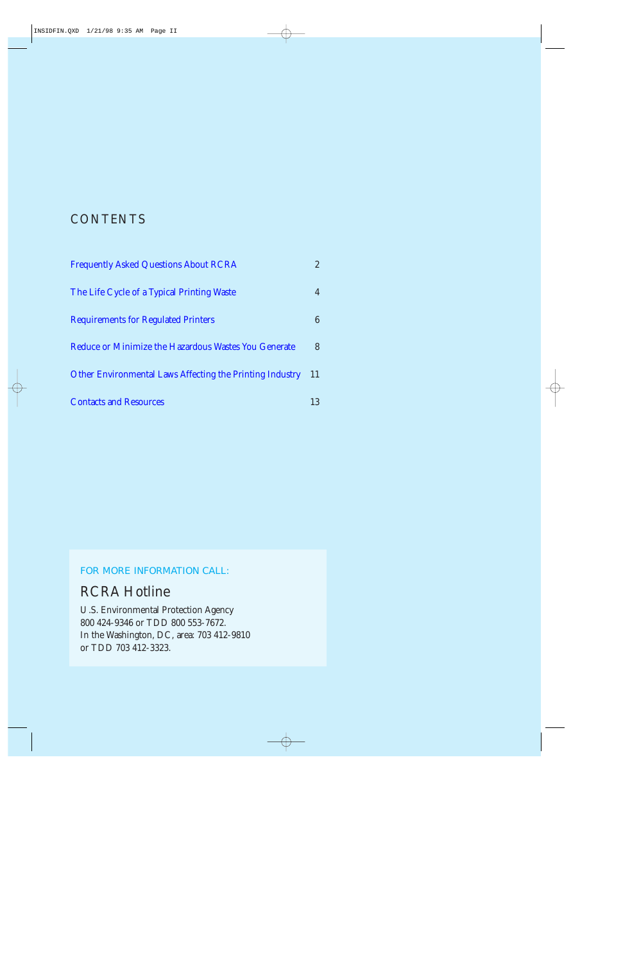### **CONTENTS**

| <b>Frequently Asked Questions About RCRA</b>                    | $\overline{2}$ |
|-----------------------------------------------------------------|----------------|
| The Life Cycle of a Typical Printing Waste                      |                |
| <b>Requirements for Regulated Printers</b>                      | 6              |
| Reduce or Minimize the Hazardous Wastes You Generate            | 8              |
| <b>Other Environmental Laws Affecting the Printing Industry</b> | 11             |
| <b>Contacts and Resources</b>                                   | 13             |

#### FOR MORE INFORMATION CALL:

### RCRA Hotline

U.S. Environmental Protection Agency 800 424-9346 or TDD 800 553-7672. In the Washington, DC, area: 703 412-9810 or TDD 703 412-3323.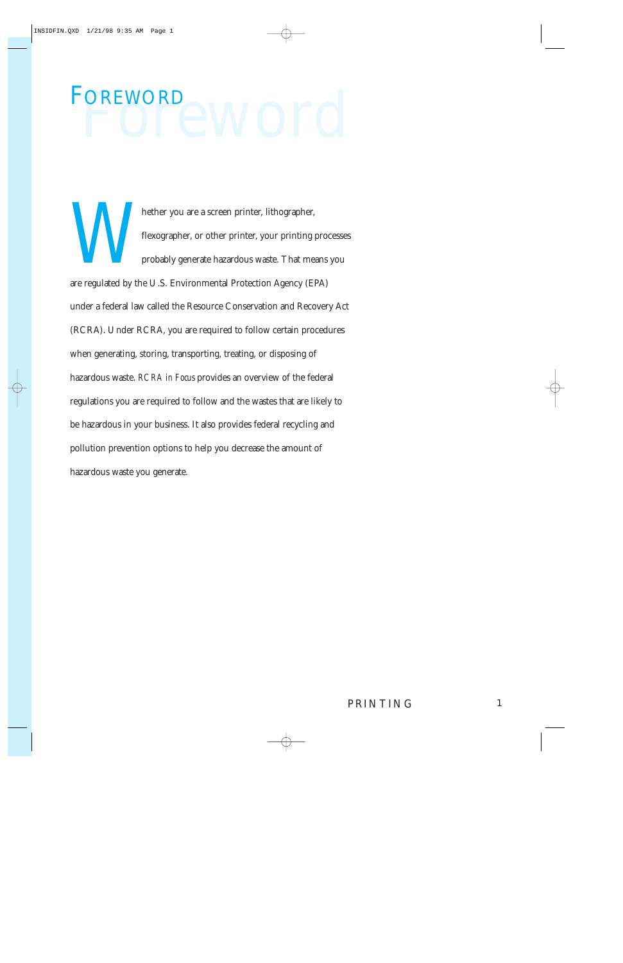# POTEWOTO FOREWORD

hether you are a screen printer, lithographer,<br>flexographer, or other printer, your printing<br>probably generate hazardous waste. That me<br>are regulated by the U.S. Environmental Protection Agency (E flexographer, or other printer, your printing processes probably generate hazardous waste. That means you are regulated by the U.S. Environmental Protection Agency (EPA) under a federal law called the Resource Conservation and Recovery Act (RCRA). Under RCRA, you are required to follow certain procedures when generating, storing, transporting, treating, or disposing of hazardous waste. *RCRA in Focus* provides an overview of the federal regulations you are required to follow and the wastes that are likely to be hazardous in your business. It also provides federal recycling and pollution prevention options to help you decrease the amount of hazardous waste you generate.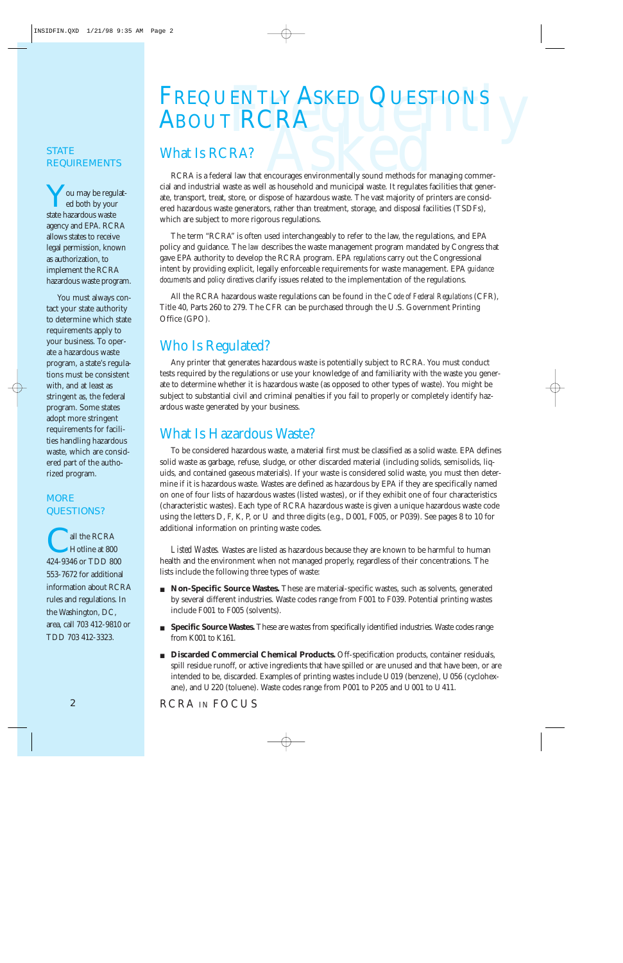# FREQUENTLY ASKED QUESTIONS<br>ABOUT RCRA<br>What Is RCRA? ABOUT RCRA

#### <span id="page-3-0"></span>**STATE** REQUIREMENTS

You may be regulated both by your state hazardous waste agency and EPA. RCRA allows states to receive legal permission, known as authorization, to implement the RCRA hazardous waste program.

You must always contact your state authority to determine which state requirements apply to your business. To operate a hazardous waste program, a state's regulations must be consistent with, and at least as stringent as, the federal program. Some states adopt more stringent requirements for facilities handling hazardous waste, which are considered part of the authorized program.

#### **MORE** QUESTIONS?

all the RCRA<br>Hotline at 800 424-9346 or TDD 800 553-7672 for additional information about RCRA rules and regulations. In the Washington, DC, area, call 703 412-9810 or TDD 703 412-3323.

RCRA is a federal law that encourages environmentally sound methods for managing commer A?<br>A www.that encourages environmentally sound methods for managing commer-<br>a as well as household and municipal waste. It regulates facilities that genercial and industrial waste as well as household and municipal waste. It regulates facilities that generate, transport, treat, store, or dispose of hazardous waste. The vast majority of printers are considered hazardous waste generators, rather than treatment, storage, and disposal facilities (TSDFs), which are subject to more rigorous regulations.

The term "RCRA" is often used interchangeably to refer to the law, the regulations, and EPA policy and guidance. The *law* describes the waste management program mandated by Congress that gave EPA authority to develop the RCRA program. EPA *regulations* carry out the Congressional intent by providing explicit, legally enforceable requirements for waste management. EPA *guidance documents* and *policy directives* clarify issues related to the implementation of the regulations.

All the RCRA hazardous waste regulations can be found in the *Code of Federal Regulations* (CFR), Title 40, Parts 260 to 279. The CFR can be purchased through the U.S. Government Printing Office (GPO).

## Who Is Regulated?

Any printer that generates hazardous waste is potentially subject to RCRA. You must conduct tests required by the regulations or use your knowledge of and familiarity with the waste you generate to determine whether it is hazardous waste (as opposed to other types of waste). You might be subject to substantial civil and criminal penalties if you fail to properly or completely identify hazardous waste generated by your business.

## What Is Hazardous Waste?

To be considered hazardous waste, a material first must be classified as a solid waste. EPA defines solid waste as garbage, refuse, sludge, or other discarded material (including solids, semisolids, liquids, and contained gaseous materials). If your waste is considered solid waste, you must then determine if it is hazardous waste. Wastes are defined as hazardous by EPA if they are specifically named on one of four lists of hazardous wastes (listed wastes), or if they exhibit one of four characteristics (characteristic wastes). Each type of RCRA hazardous waste is given a unique hazardous waste code using the letters D, F, K, P, or U and three digits (e.g., D001, F005, or P039). See pages 8 to 10 for additional information on printing waste codes.

*Listed Wastes.* Wastes are listed as hazardous because they are known to be harmful to human health and the environment when not managed properly, regardless of their concentrations. The lists include the following three types of waste:

- **Non-Specific Source Wastes.** These are material-specific wastes, such as solvents, generated by several different industries. Waste codes range from F001 to F039. Potential printing wastes include F001 to F005 (solvents).
- **Specific Source Wastes.** These are wastes from specifically identified industries. Waste codes range from K001 to K161.
- **Discarded Commercial Chemical Products.** Off-specification products, container residuals, spill residue runoff, or active ingredients that have spilled or are unused and that have been, or are intended to be, discarded. Examples of printing wastes include U019 (benzene), U056 (cyclohexane), and U220 (toluene). Waste codes range from P001 to P205 and U001 to U411.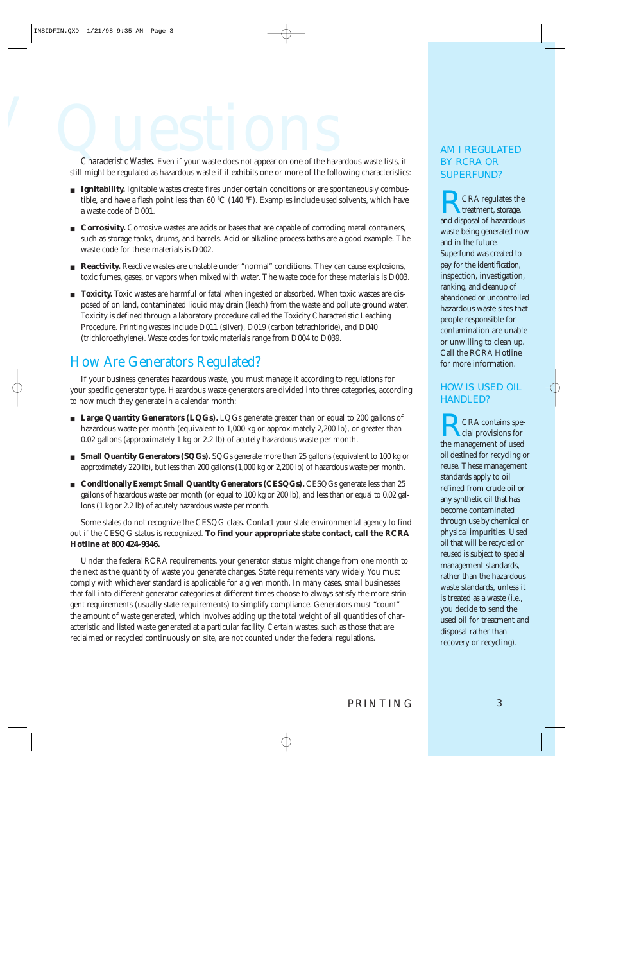# Characteristic Wastes. Even if your waste does not appear on one of the haz

*Characteristic Wastes.* Even if your waste does not appear on one of the hazardous waste lists, it still might be regulated as hazardous waste if it exhibits one or more of the following characteristics:

- **Ignitability.** Ignitable wastes create fires under certain conditions or are spontaneously combustible, and have a flash point less than 60 °C (140 °F). Examples include used solvents, which have a waste code of D001.
- **Corrosivity.** Corrosive wastes are acids or bases that are capable of corroding metal containers, such as storage tanks, drums, and barrels. Acid or alkaline process baths are a good example. The waste code for these materials is D002.
- **Reactivity.** Reactive wastes are unstable under "normal" conditions. They can cause explosions, toxic fumes, gases, or vapors when mixed with water. The waste code for these materials is D003.
- **Toxicity.** Toxic wastes are harmful or fatal when ingested or absorbed. When toxic wastes are disposed of on land, contaminated liquid may drain (leach) from the waste and pollute ground water. Toxicity is defined through a laboratory procedure called the Toxicity Characteristic Leaching Procedure. Printing wastes include D011 (silver), D019 (carbon tetrachloride), and D040 (trichloroethylene). Waste codes for toxic materials range from D004 to D039.

### How Are Generators Regulated?

If your business generates hazardous waste, you must manage it according to regulations for your specific generator type. Hazardous waste generators are divided into three categories, according to how much they generate in a calendar month:

- **Large Quantity Generators (LQGs).** LQGs generate greater than or equal to 200 gallons of hazardous waste per month (equivalent to 1,000 kg or approximately 2,200 lb), or greater than 0.02 gallons (approximately 1 kg or 2.2 lb) of acutely hazardous waste per month.
- **Small Quantity Generators (SQGs).** SQGs generate more than 25 gallons (equivalent to 100 kg or approximately 220 lb), but less than 200 gallons (1,000 kg or 2,200 lb) of hazardous waste per month.
- **Conditionally Exempt Small Quantity Generators (CESQGs).** CESQGs generate less than 25 gallons of hazardous waste per month (or equal to 100 kg or 200 lb), and less than or equal to 0.02 gallons (1 kg or 2.2 lb) of acutely hazardous waste per month.

Some states do not recognize the CESQG class. Contact your state environmental agency to find out if the CESQG status is recognized. **To find your appropriate state contact, call the RCRA Hotline at 800 424-9346.**

Under the federal RCRA requirements, your generator status might change from one month to the next as the quantity of waste you generate changes. State requirements vary widely. You must comply with whichever standard is applicable for a given month. In many cases, small businesses that fall into different generator categories at different times choose to always satisfy the more stringent requirements (usually state requirements) to simplify compliance. Generators must "count" the amount of waste generated, which involves adding up the total weight of all quantities of characteristic and listed waste generated at a particular facility. Certain wastes, such as those that are reclaimed or recycled continuously on site, are not counted under the federal regulations.

#### AM I REGULATED BY RCRA OR SUPERFUND?

RCRA regulates the treatment, storage, and disposal of hazardous waste being generated now and in the future. Superfund was created to pay for the identification, inspection, investigation, ranking, and cleanup of abandoned or uncontrolled hazardous waste sites that people responsible for contamination are unable or unwilling to clean up. Call the RCRA Hotline for more information.

#### HOW IS USED OIL HANDLED?

RCRA contains spe-cial provisions for the management of used oil destined for recycling or reuse. These management standards apply to oil refined from crude oil or any synthetic oil that has become contaminated through use by chemical or physical impurities. Used oil that will be recycled or reused is subject to special management standards, rather than the hazardous waste standards, unless it is treated as a waste (i.e., you decide to send the used oil for treatment and disposal rather than recovery or recycling).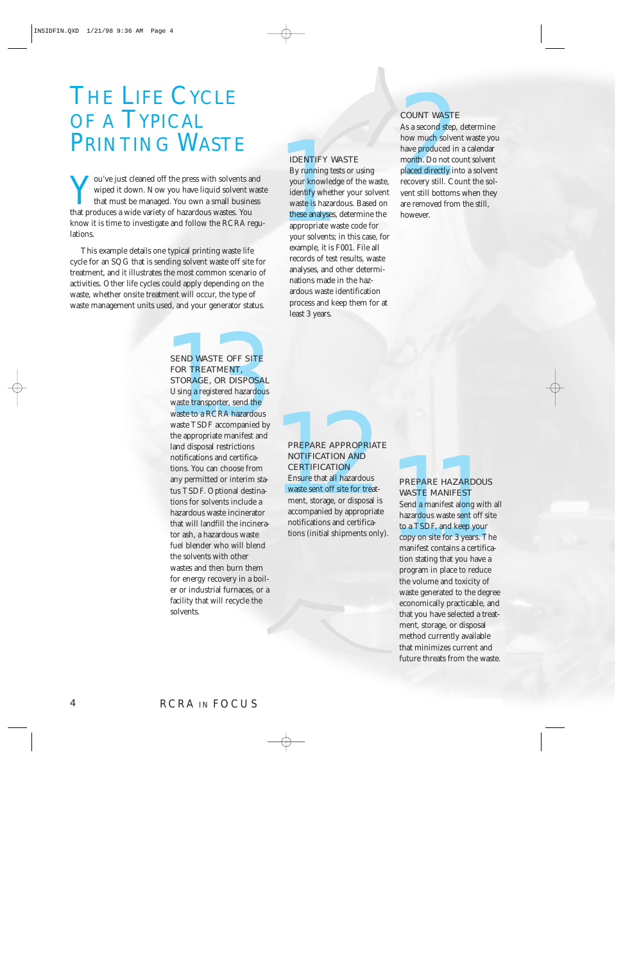## <span id="page-5-0"></span>THE LIFE CYCLE OF A TYPICAL PRINTING WASTE

THE EITE CICLE SOUNT WASTE<br>
2 1 YPICAL AS a second step, determ<br>
2 NOUNT WASTE<br>
2 NOUNT ING WASTE BOAT AS a second step, determ<br>
3 a second step, determ<br>
3 wiped it down. Now you have liquid solvent waste<br>
2 wive just clea wiped it down. Now you have liquid solvent waste that must be managed. You own a small business that produces a wide variety of hazardous wastes. You know it is time to investigate and follow the RCRA regulations.

This example details one typical printing waste life cycle for an SQG that is sending solvent waste off site for treatment, and it illustrates the most common scenario of activities. Other life cycles could apply depending on the waste, whether onsite treatment will occur, the type of waste management units used, and your generator status.

#### SEND WASTE OFF SITE FOR TREATMENT, STORAGE, OR DISPOSAL Using a registered hazardous

**SEND WASTE OFF SITE**<br> **FOR TREATMENT, FOR TREATMENT STORAGE, OR DISPOSAL**<br>
Using a registered hazardous<br>
waste transporter, send the<br>
waste of RCRA hazardous<br>
the appropriate manifest and<br>
land disposal restrictions<br>
tors waste transporter, send the waste to a RCRA hazardous waste TSDF accompanied by the appropriate manifest and land disposal restrictions notifications and certifications. You can choose from any permitted or interim status TSDF. Optional destinations for solvents include a hazardous waste incinerator that will landfill the incinerator ash, a hazardous waste fuel blender who will blend the solvents with other wastes and then burn them for energy recovery in a boiler or industrial furnaces, or a facility that will recycle the solvents.

#### IDENTIFY WASTE

By running tests or using your knowledge of the waste, identify whether your solvent waste is hazardous. Based on these analyses, determine the appropriate waste code for your solvents; in this case, for example, it is F001. File all records of test results, waste analyses, and other determinations made in the hazardous waste identification process and keep them for at least 3 years.

#### COUNT WASTE

As a second step, determine how much solvent waste you have produced in a calendar month. Do not count solvent placed directly into a solvent recovery still. Count the solvent still bottoms when they are removed from the still, however.

#### PREPARE APPROPRIATE NOTIFICATION AND **CERTIFICATION**

Ensure that all hazardous waste sent off site for treatment, storage, or disposal is accompanied by appropriate notifications and certifications (initial shipments only).

#### PREPARE HAZARDOUS WASTE MANIFEST

Send a manifest along with all hazardous waste sent off site to a TSDF, and keep your copy on site for 3 years. The manifest contains a certification stating that you have a program in place to reduce the volume and toxicity of waste generated to the degree economically practicable, and that you have selected a treatment, storage, or disposal method currently available that minimizes current and future threats from the waste.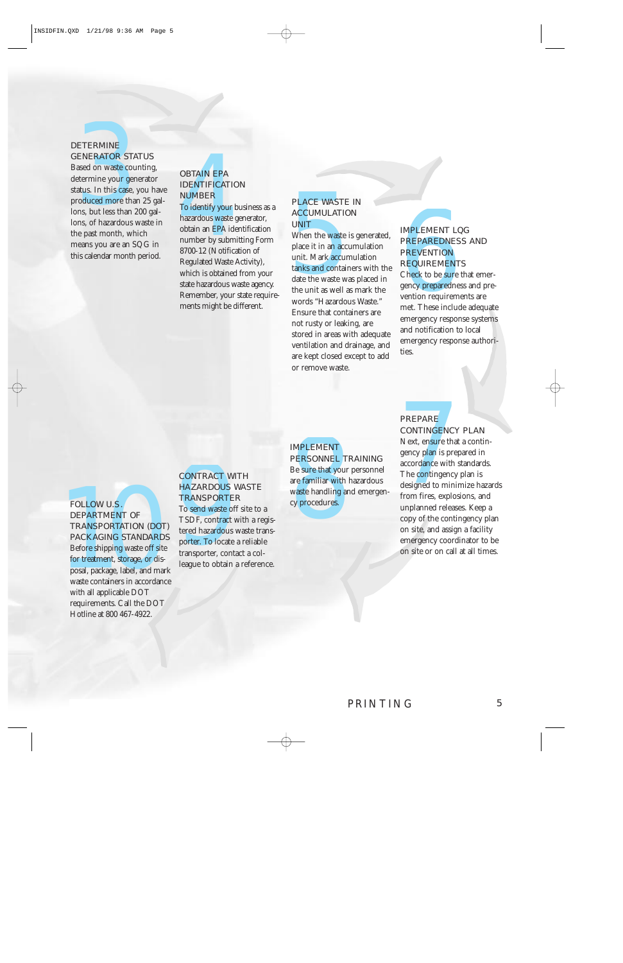#### **DETERMINE** GENERATOR STATUS

Based on waste counting, determine your generator status. In this case, you have produced more than 25 gallons, but less than 200 gallons, of hazardous waste in the past month, which means you are an SQG in this calendar month period.

#### OBTAIN EPA IDENTIFICATION NUMBER

ETERMINE<br>
SETERMINE<br>
ased on waste counting.<br>
atus. In this case, you have<br>
noticed more than 20 gal-<br>
MUMBER<br>
mos, by thess than 200 gal-<br>
mos, by the star and the star and the star and the star and the star and the star To identify your business as a hazardous waste generator, obtain an EPA identification number by submitting Form 8700-12 (Notification of Regulated Waste Activity), which is obtained from your state hazardous waste agency. Remember, your state requirements might be different.

#### PLACE WASTE IN **ACCUMULATION** UNIT

When the waste is generated, place it in an accumulation unit. Mark accumulation tanks and containers with the date the waste was placed in the unit as well as mark the words "Hazardous Waste." Ensure that containers are not rusty or leaking, are stored in areas with adequate ventilation and drainage, and are kept closed except to add or remove waste.

#### IMPLEMENT LQG PREPAREDNESS AND **PREVENTION REQUIREMENTS**

Check to be sure that emergency preparedness and prevention requirements are met. These include adequate emergency response systems and notification to local emergency response authorities.

#### FOLLOW U.S. DEPARTMENT OF TRANSPORTATION (DOT) PACKAGING STANDARDS

**EXERCAGING STANDARDS**<br> **EXERCAGING STANDARDS**<br> **EXERCAGING STANDARDS**<br> **EXERCAGING STANDARDS**<br> **EXERCAGING STANDARDS**<br> **EXERCAGING STANDARDS**<br> **EXERCAGING STANDARDS**<br> **EXERCAGING STANDARDS**<br> **EXERCAGING STANDARDS**<br> **EXERC** Before shipping waste off site for treatment, storage, or disposal, package, label, and mark waste containers in accordance with all applicable DOT requirements. Call the DOT Hotline at 800 467-4922.

#### CONTRACT WITH HAZARDOUS WASTE **TRANSPORTER**

To send waste off site to a TSDF, contract with a registered hazardous waste transporter. To locate a reliable transporter, contact a colleague to obtain a reference.

#### IMPLEMENT PERSONNEL TRAINING

Be sure that your personnel are familiar with hazardous waste handling and emergency procedures.

#### PREPARE CONTINGENCY PLAN

Next, ensure that a contingency plan is prepared in accordance with standards. The **contingency** plan is designed to minimize hazards from fires, explosions, and unplanned releases. Keep a copy of the contingency plan on site, and assign a facility emergency coordinator to be on site or on call at all times.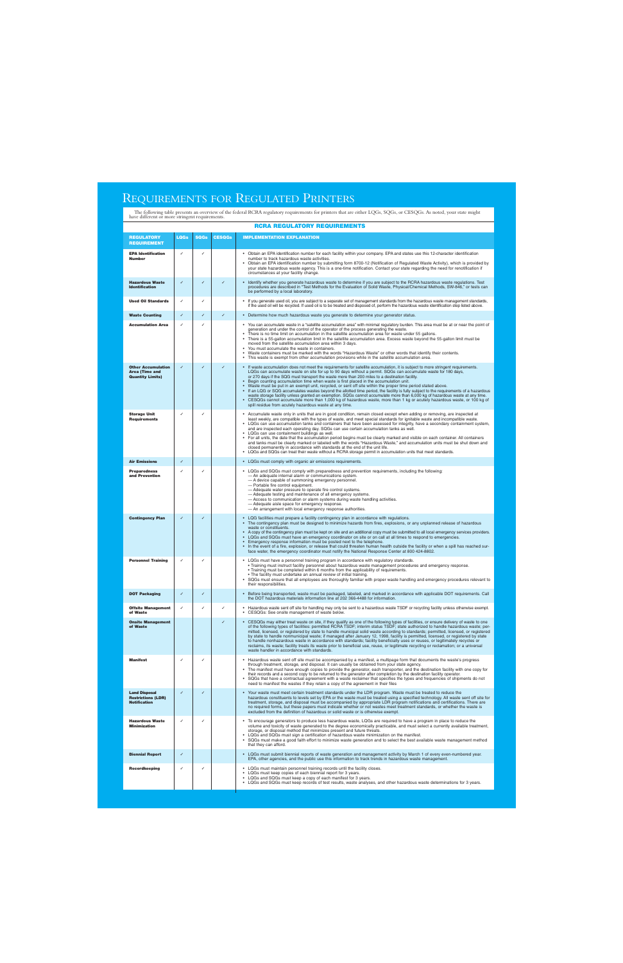#### <span id="page-7-0"></span>REQUIREMENTS FOR REGULATED PRINTERS

The following table presents an overview of the federal RCRA regulatory requirements for printers that are either LQGs, SQGs, or CESQGs. As noted, your state might have different or more stringent requirements.

|                                                                          |             |             |               | RCRA REGULATORY REQUIREMENTS                                                                                                                                                                                                                                                                                                                                                                                                                                                                                                                                                                                                                                                                                                                                                                                                                                                                                                                                                                                                           |
|--------------------------------------------------------------------------|-------------|-------------|---------------|----------------------------------------------------------------------------------------------------------------------------------------------------------------------------------------------------------------------------------------------------------------------------------------------------------------------------------------------------------------------------------------------------------------------------------------------------------------------------------------------------------------------------------------------------------------------------------------------------------------------------------------------------------------------------------------------------------------------------------------------------------------------------------------------------------------------------------------------------------------------------------------------------------------------------------------------------------------------------------------------------------------------------------------|
| <b>REGULATORY</b><br><b>REQUIREMENT</b>                                  | <b>LQGs</b> | <b>SQGs</b> | <b>CESQGs</b> | <b>IMPLEMENTATION EXPLANATION</b>                                                                                                                                                                                                                                                                                                                                                                                                                                                                                                                                                                                                                                                                                                                                                                                                                                                                                                                                                                                                      |
| <b>EPA Identification</b><br><b>Number</b>                               | ✓           | ✓           |               | Obtain an EPA identification number for each facility within your company. EPA and states use this 12-character identification<br>number to track hazardous waste activities.<br>Obtain an EPA identification number by submitting form 8700-12 (Notification of Regulated Waste Activity), which is provided by<br>your state hazardous waste agency. This is a one-time notification. Contact your state regarding the need for renotification if<br>circumstances at your facility change.                                                                                                                                                                                                                                                                                                                                                                                                                                                                                                                                          |
| <b>Hazardous Waste</b><br><b>Identification</b>                          | ✓           | ✓           | ✓             | Identify whether you generate hazardous waste to determine if you are subject to the RCRA hazardous waste regulations. Test<br>procedures are described in "Test Methods for the Evaluation of Solid Waste, Physical/Chemical Methods, SW-846," or tests can<br>be performed by a local laboratory.                                                                                                                                                                                                                                                                                                                                                                                                                                                                                                                                                                                                                                                                                                                                    |
| <b>Used Oil Standards</b>                                                | ✓           | ✓           |               | If you generate used oil, you are subject to a separate set of management standards from the hazardous waste management standards,<br>if the used oil will be recycled. If used oil is to be treated and disposed of, perform the hazardous waste identification step listed above.                                                                                                                                                                                                                                                                                                                                                                                                                                                                                                                                                                                                                                                                                                                                                    |
| <b>Waste Counting</b>                                                    | ✓           | ✓           | $\checkmark$  | . Determine how much hazardous waste you generate to determine your generator status.                                                                                                                                                                                                                                                                                                                                                                                                                                                                                                                                                                                                                                                                                                                                                                                                                                                                                                                                                  |
| <b>Accumulation Area</b>                                                 | ✓           | ✓           |               | You can accumulate waste in a "satellite accumulation area" with minimal regulatory burden. This area must be at or near the point of<br>generation and under the control of the operator of the process generating the waste.<br>There is no time limit on accumulation in the satellite accumulation area for waste under 55 gallons.<br>$\bullet$<br>There is a 55-gallon accumulation limit in the satellite accumulation area. Excess waste beyond the 55-gallon limit must be<br>moved from the satellite accumulation area within 3 days.<br>You must accumulate the waste in containers.<br>Waste containers must be marked with the words "Hazardous Waste" or other words that identify their contents.<br>۰<br>This waste is exempt from other accumulation provisions while in the satellite accumulation area.<br>$\bullet$                                                                                                                                                                                               |
| <b>Other Accumulation</b><br>Area (Time and<br><b>Quantity Limits)</b>   | ✓           | ✓           | $\checkmark$  | If waste accumulation does not meet the requirements for satellite accumulation, it is subject to more stringent requirements.<br>LQGs can accumulate waste on site for up to 90 days without a permit. SQGs can accumulate waste for 180 days,<br>or 270 days if the SQG must transport the waste more than 200 miles to a destination facility.<br>Begin counting accumulation time when waste is first placed in the accumulation unit.<br>Waste must be put in an exempt unit, recycled, or sent off site within the proper time period stated above.<br>$\bullet$<br>If an LQG or SQG accumulates wastes beyond the allotted time period, the facility is fully subject to the requirements of a hazardous<br>waste storage facility unless granted an exemption. SQGs cannot accumulate more than 6,000 kg of hazardous waste at any time.<br>CESQGs cannot accumulate more than 1,000 kg of hazardous waste, more than 1 kg or acutely hazardous waste, or 100 kg of<br>spill residue from acutely hazardous waste at any time. |
| <b>Storage Unit</b><br><b>Requirements</b>                               | ✓           | ✓           |               | Accumulate waste only in units that are in good condition, remain closed except when adding or removing, are inspected at<br>least weekly, are compatible with the types of waste, and meet special standards for ignitable waste and incompatible waste.<br>LQGs can use accumulation tanks and containers that have been assessed for integrity, have a secondary containment system,<br>and are inspected each operating day. SQGs can use certain accumulation tanks as well.<br>LQGs can use containment buildings as well.<br>$\bullet$<br>For all units, the date that the accumulation period begins must be clearly marked and visible on each container. All containers<br>and tanks must be clearly marked or labeled with the words "Hazardous Waste," and accumulation units must be shut down and<br>closed permanently in accordance with standards at the end of the unit life.<br>LQGs and SQGs can treat their waste without a RCRA storage permit in accumulation units that meet standards.                        |
| <b>Air Emissions</b>                                                     | ✓           |             |               | • LQGs must comply with organic air emissions requirements.                                                                                                                                                                                                                                                                                                                                                                                                                                                                                                                                                                                                                                                                                                                                                                                                                                                                                                                                                                            |
| <b>Preparedness</b><br>and Prevention                                    |             | ✓           |               | • LQGs and SQGs must comply with preparedness and prevention requirements, including the following:<br>- An adequate internal alarm or communications system.<br>- A device capable of summoning emergency personnel.<br>- Portable fire control equipment.<br>- Adequate water pressure to operate fire control systems.<br>- Adequate testing and maintenance of all emergency systems.<br>- Access to communication or alarm systems during waste handling activities.<br>- Adequate aisle space for emergency response.<br>- An arrangement with local emergency response authorities.                                                                                                                                                                                                                                                                                                                                                                                                                                             |
| <b>Contingency Plan</b>                                                  | ✓           | ✓           |               | LQG facilities must prepare a facility contingency plan in accordance with regulations.<br>$\bullet$<br>The contingency plan must be designed to minimize hazards from fires, explosions, or any unplanned release of hazardous<br>waste or constituents.<br>A copy of the contingency plan must be kept on site and an additional copy must be submitted to all local emergency services providers.<br>$\bullet$<br>LQGs and SQGs must have an emergency coordinator on site or on call at all times to respond to emergencies.<br>$\bullet$<br>Emergency response information must be posted next to the telephone.<br>$\bullet$<br>In the event of a fire, explosion, or release that could threaten human health outside the facility or when a spill has reached sur-<br>face water, the emergency coordinator must notify the National Response Center at 800 424-8802.                                                                                                                                                          |
| <b>Personnel Training</b>                                                | ✓           | √           |               | • LQGs must have a personnel training program in accordance with regulatory standards.<br>. Training must instruct facility personnel about hazardous waste management procedures and emergency response.<br>. Training must be completed within 6 months from the applicability of requirements.<br>. The facility must undertake an annual review of initial training.<br>SQGs must ensure that all employees are thoroughly familiar with proper waste handling and emergency procedures relevant to<br>their responsibilities.                                                                                                                                                                                                                                                                                                                                                                                                                                                                                                     |
| <b>DOT Packaging</b>                                                     | ✓           | ✓           |               | • Before being transported, waste must be packaged, labeled, and marked in accordance with applicable DOT requirements. Call<br>the DOT hazardous materials information line at 202 366-4488 for information.                                                                                                                                                                                                                                                                                                                                                                                                                                                                                                                                                                                                                                                                                                                                                                                                                          |
| <b>Offsite Management</b><br>of Waste                                    | ✓           | ✓           |               | Hazardous waste sent off site for handling may only be sent to a hazardous waste TSDF or recycling facility unless otherwise exempt.<br>۰<br>CESQGs: See onsite management of waste below.                                                                                                                                                                                                                                                                                                                                                                                                                                                                                                                                                                                                                                                                                                                                                                                                                                             |
| <b>Onsite Management</b><br>of Waste                                     |             |             | ✓             | CESQGs may either treat waste on site, if they qualify as one of the following types of facilities, or ensure delivery of waste to one<br>of the following types of facilities: permitted RCRA TSDF; interim status TSDF; state authorized to handle hazardous waste; per-<br>mitted, licensed, or registered by state to handle municipal solid waste according to standards; permitted, licensed, or registered<br>by state to handle nonmunicipal waste; if managed after January 12, 1998, facility is permitted, licensed, or registered by state<br>to handle nonhazardous waste in accordance with standards; facility beneficially uses or reuses, or legitimately recycles or<br>reclaims, its waste; facility treats its waste prior to beneficial use, reuse, or legitimate recycling or reclamation; or a universal<br>waste handler in accordance with standards.                                                                                                                                                         |
| <b>Manifest</b>                                                          | ✓           | ✓           |               | Hazardous waste sent off site must be accompanied by a manifest, a multipage form that documents the waste's progress<br>through treatment, storage, and disposal. It can usually be obtained from your state agency.<br>The manifest must have enough copies to provide the generator, each transporter, and the destination facility with one copy for<br>their records and a second copy to be returned to the generator after completion by the destination facility operator.<br>SQGs that have a contractual agreement with a waste reclaimer that specifies the types and frequencies of shipments do not<br>need to manifest the wastes if they retain a copy of the agreement in their files                                                                                                                                                                                                                                                                                                                                  |
| <b>Land Disposal</b><br><b>Restrictions (LDR)</b><br><b>Notification</b> | ✓           | ✓           |               | Your waste must meet certain treatment standards under the LDR program. Waste must be treated to reduce the<br>hazardous constituents to levels set by EPA or the waste must be treated using a specified technology. All waste sent off site for<br>treatment, storage, and disposal must be accompanied by appropriate LDR program notifications and certifications. There are<br>no required forms, but these papers must indicate whether or not wastes meet treatment standards, or whether the waste is<br>excluded from the definition of hazardous or solid waste or is otherwise exempt.                                                                                                                                                                                                                                                                                                                                                                                                                                      |
| <b>Hazardous Waste</b><br><b>Minimization</b>                            | ✓           | ✓           |               | To encourage generators to produce less hazardous waste, LQGs are required to have a program in place to reduce the<br>volume and toxicity of waste generated to the degree economically practicable, and must select a currently available treatment,<br>storage, or disposal method that minimizes present and future threats.<br>LQGs and SQGs must sign a certification of hazardous waste minimization on the manifest.<br>SQGs must make a good faith effort to minimize waste generation and to select the best available waste management method<br>۰<br>that they can afford.                                                                                                                                                                                                                                                                                                                                                                                                                                                 |
| <b>Biennial Report</b>                                                   | ✓           |             |               | • LQGs must submit biennial reports of waste generation and management activity by March 1 of every even-numbered year.<br>EPA, other agencies, and the public use this information to track trends in hazardous waste management.                                                                                                                                                                                                                                                                                                                                                                                                                                                                                                                                                                                                                                                                                                                                                                                                     |
| <b>Recordkeeping</b>                                                     | ✓           | J           |               | LQGs must maintain personnel training records until the facility closes.<br>۰<br>LQGs must keep copies of each biennial report for 3 years.<br>LQGs and SQGs must keep a copy of each manifest for 3 years.<br>۰<br>• LQGs and SQGs must keep records of test results, waste analyses, and other hazardous waste determinations for 3 years.                                                                                                                                                                                                                                                                                                                                                                                                                                                                                                                                                                                                                                                                                           |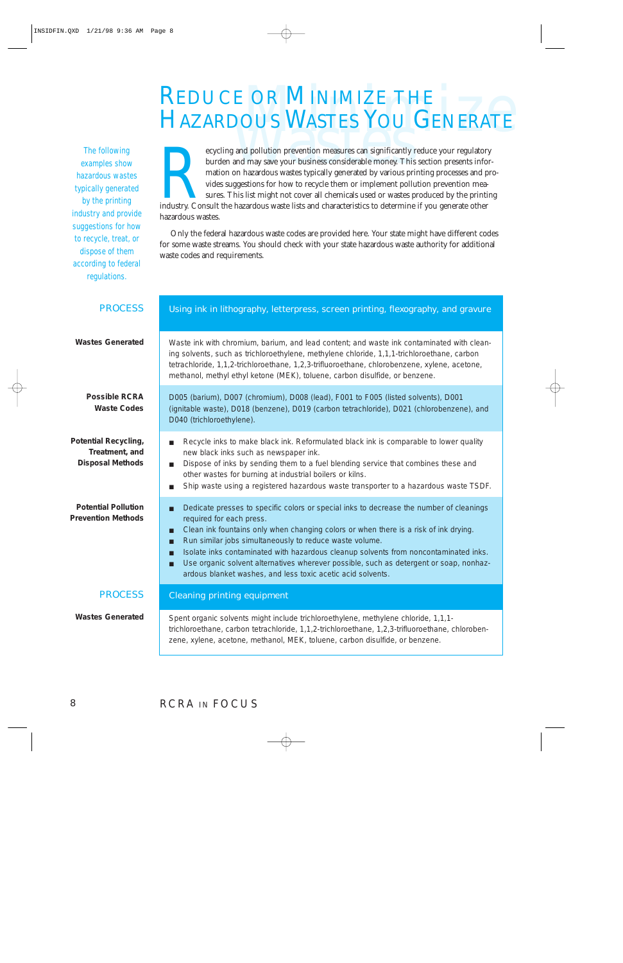# REDUCE OR MINIMIZE THE HAZARDOUS WASTES YOU GENERATE

<span id="page-8-0"></span>The following examples show hazardous wastes typically generated by the printing industry and provide suggestions for how to recycle, treat, or dispose of them according to federal regulations.

**HAZARDOUS WASTES YOU GENERATE**<br>
FIAZARDOUS WASTES YOU GENERATE<br>
evycling and pollution prevention measures can significantly reduce your regulatory<br>
burden and may save your business considerable money. This section prese burden and may save your business considerable money. This section presents information on hazardous wastes typically generated by various printing processes and provides suggestions for how to recycle them or implement pollution prevention measures. This list might not cover all chemicals used or wastes produced by the printing industry. Consult the hazardous waste lists and characteristics to determine if you generate other hazardous wastes.

Only the federal hazardous waste codes are provided here. Your state might have different codes for some waste streams. You should check with your state hazardous waste authority for additional waste codes and requirements.

| <b>PROCESS</b>                                                           | Using ink in lithography, letterpress, screen printing, flexography, and gravure                                                                                                                                                                                                                                                                                                                                                                                                                                                                 |  |  |  |
|--------------------------------------------------------------------------|--------------------------------------------------------------------------------------------------------------------------------------------------------------------------------------------------------------------------------------------------------------------------------------------------------------------------------------------------------------------------------------------------------------------------------------------------------------------------------------------------------------------------------------------------|--|--|--|
| <b>Wastes Generated</b>                                                  | Waste ink with chromium, barium, and lead content; and waste ink contaminated with clean-<br>ing solvents, such as trichloroethylene, methylene chloride, 1,1,1-trichloroethane, carbon<br>tetrachloride, 1,1,2-trichloroethane, 1,2,3-trifluoroethane, chlorobenzene, xylene, acetone,<br>methanol, methyl ethyl ketone (MEK), toluene, carbon disulfide, or benzene.                                                                                                                                                                           |  |  |  |
| <b>Possible RCRA</b><br><b>Waste Codes</b>                               | D005 (barium), D007 (chromium), D008 (lead), F001 to F005 (listed solvents), D001<br>(ignitable waste), D018 (benzene), D019 (carbon tetrachloride), D021 (chlorobenzene), and<br>D040 (trichloroethylene).                                                                                                                                                                                                                                                                                                                                      |  |  |  |
| <b>Potential Recycling,</b><br>Treatment, and<br><b>Disposal Methods</b> | Recycle inks to make black ink. Reformulated black ink is comparable to lower quality<br>п<br>new black inks such as newspaper ink.<br>Dispose of inks by sending them to a fuel blending service that combines these and<br>п<br>other wastes for burning at industrial boilers or kilns.<br>Ship waste using a registered hazardous waste transporter to a hazardous waste TSDF.                                                                                                                                                               |  |  |  |
| <b>Potential Pollution</b><br><b>Prevention Methods</b>                  | Dedicate presses to specific colors or special inks to decrease the number of cleanings<br>П<br>required for each press.<br>Clean ink fountains only when changing colors or when there is a risk of ink drying.<br>П<br>Run similar jobs simultaneously to reduce waste volume.<br>П<br>Isolate inks contaminated with hazardous cleanup solvents from noncontaminated inks.<br>П<br>Use organic solvent alternatives wherever possible, such as detergent or soap, nonhaz-<br>П<br>ardous blanket washes, and less toxic acetic acid solvents. |  |  |  |
| <b>PROCESS</b>                                                           | <b>Cleaning printing equipment</b>                                                                                                                                                                                                                                                                                                                                                                                                                                                                                                               |  |  |  |
| <b>Wastes Generated</b>                                                  | Spent organic solvents might include trichloroethylene, methylene chloride, 1,1,1-<br>trichloroethane, carbon tetrachloride, 1,1,2-trichloroethane, 1,2,3-trifluoroethane, chloroben-<br>zene, xylene, acetone, methanol, MEK, toluene, carbon disulfide, or benzene.                                                                                                                                                                                                                                                                            |  |  |  |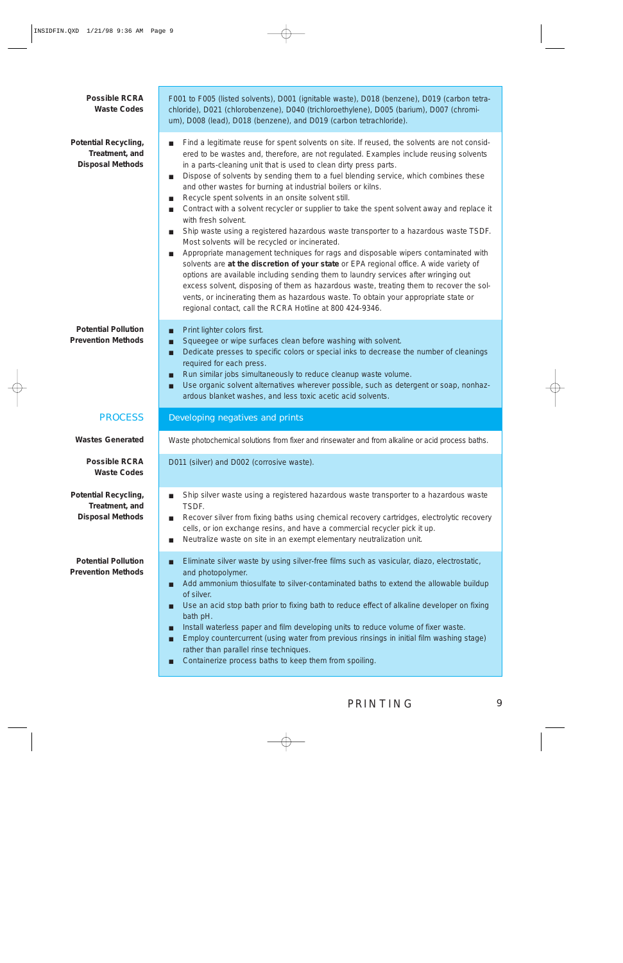| <b>Possible RCRA</b><br><b>Waste Codes</b>                               | F001 to F005 (listed solvents), D001 (ignitable waste), D018 (benzene), D019 (carbon tetra-<br>chloride), D021 (chlorobenzene), D040 (trichloroethylene), D005 (barium), D007 (chromi-<br>um), D008 (lead), D018 (benzene), and D019 (carbon tetrachloride).                                                                                                                                                                                                                                                                                                                                                                                                                                                                                                                                                                                                                                                                                                                                                                                                                                                                                                                                                                                                                                                                      |  |  |  |
|--------------------------------------------------------------------------|-----------------------------------------------------------------------------------------------------------------------------------------------------------------------------------------------------------------------------------------------------------------------------------------------------------------------------------------------------------------------------------------------------------------------------------------------------------------------------------------------------------------------------------------------------------------------------------------------------------------------------------------------------------------------------------------------------------------------------------------------------------------------------------------------------------------------------------------------------------------------------------------------------------------------------------------------------------------------------------------------------------------------------------------------------------------------------------------------------------------------------------------------------------------------------------------------------------------------------------------------------------------------------------------------------------------------------------|--|--|--|
| <b>Potential Recycling,</b><br>Treatment, and<br><b>Disposal Methods</b> | Find a legitimate reuse for spent solvents on site. If reused, the solvents are not consid-<br>п<br>ered to be wastes and, therefore, are not regulated. Examples include reusing solvents<br>in a parts-cleaning unit that is used to clean dirty press parts.<br>Dispose of solvents by sending them to a fuel blending service, which combines these<br>п<br>and other wastes for burning at industrial boilers or kilns.<br>Recycle spent solvents in an onsite solvent still.<br>$\blacksquare$<br>Contract with a solvent recycler or supplier to take the spent solvent away and replace it<br>ш<br>with fresh solvent.<br>Ship waste using a registered hazardous waste transporter to a hazardous waste TSDF.<br>п<br>Most solvents will be recycled or incinerated.<br>Appropriate management techniques for rags and disposable wipers contaminated with<br>$\mathcal{L}_{\mathcal{A}}$<br>solvents are at the discretion of your state or EPA regional office. A wide variety of<br>options are available including sending them to laundry services after wringing out<br>excess solvent, disposing of them as hazardous waste, treating them to recover the sol-<br>vents, or incinerating them as hazardous waste. To obtain your appropriate state or<br>regional contact, call the RCRA Hotline at 800 424-9346. |  |  |  |
| <b>Potential Pollution</b><br><b>Prevention Methods</b>                  | Print lighter colors first.<br>П<br>Squeegee or wipe surfaces clean before washing with solvent.<br>П<br>Dedicate presses to specific colors or special inks to decrease the number of cleanings<br>П<br>required for each press.<br>Run similar jobs simultaneously to reduce cleanup waste volume.<br>п<br>Use organic solvent alternatives wherever possible, such as detergent or soap, nonhaz-<br>П<br>ardous blanket washes, and less toxic acetic acid solvents.                                                                                                                                                                                                                                                                                                                                                                                                                                                                                                                                                                                                                                                                                                                                                                                                                                                           |  |  |  |
| <b>PROCESS</b>                                                           | <b>Developing negatives and prints</b>                                                                                                                                                                                                                                                                                                                                                                                                                                                                                                                                                                                                                                                                                                                                                                                                                                                                                                                                                                                                                                                                                                                                                                                                                                                                                            |  |  |  |
| <b>Wastes Generated</b>                                                  | Waste photochemical solutions from fixer and rinsewater and from alkaline or acid process baths.                                                                                                                                                                                                                                                                                                                                                                                                                                                                                                                                                                                                                                                                                                                                                                                                                                                                                                                                                                                                                                                                                                                                                                                                                                  |  |  |  |
| <b>Possible RCRA</b><br><b>Waste Codes</b>                               | D011 (silver) and D002 (corrosive waste).                                                                                                                                                                                                                                                                                                                                                                                                                                                                                                                                                                                                                                                                                                                                                                                                                                                                                                                                                                                                                                                                                                                                                                                                                                                                                         |  |  |  |
| <b>Potential Recycling,</b><br>Treatment, and<br><b>Disposal Methods</b> | Ship silver waste using a registered hazardous waste transporter to a hazardous waste<br>П<br>TSDF.<br>Recover silver from fixing baths using chemical recovery cartridges, electrolytic recovery<br>п<br>cells, or ion exchange resins, and have a commercial recycler pick it up.<br>Neutralize waste on site in an exempt elementary neutralization unit.<br>■                                                                                                                                                                                                                                                                                                                                                                                                                                                                                                                                                                                                                                                                                                                                                                                                                                                                                                                                                                 |  |  |  |
| <b>Potential Pollution</b><br><b>Prevention Methods</b>                  | Eliminate silver waste by using silver-free films such as vasicular, diazo, electrostatic,<br>П<br>and photopolymer.<br>Add ammonium thiosulfate to silver-contaminated baths to extend the allowable buildup<br>П<br>of silver.<br>Use an acid stop bath prior to fixing bath to reduce effect of alkaline developer on fixing<br>П<br>bath pH.<br>Install waterless paper and film developing units to reduce volume of fixer waste.<br>П<br>Employ countercurrent (using water from previous rinsings in initial film washing stage)<br>П<br>rather than parallel rinse techniques.<br>Containerize process baths to keep them from spoiling.<br>П                                                                                                                                                                                                                                                                                                                                                                                                                                                                                                                                                                                                                                                                             |  |  |  |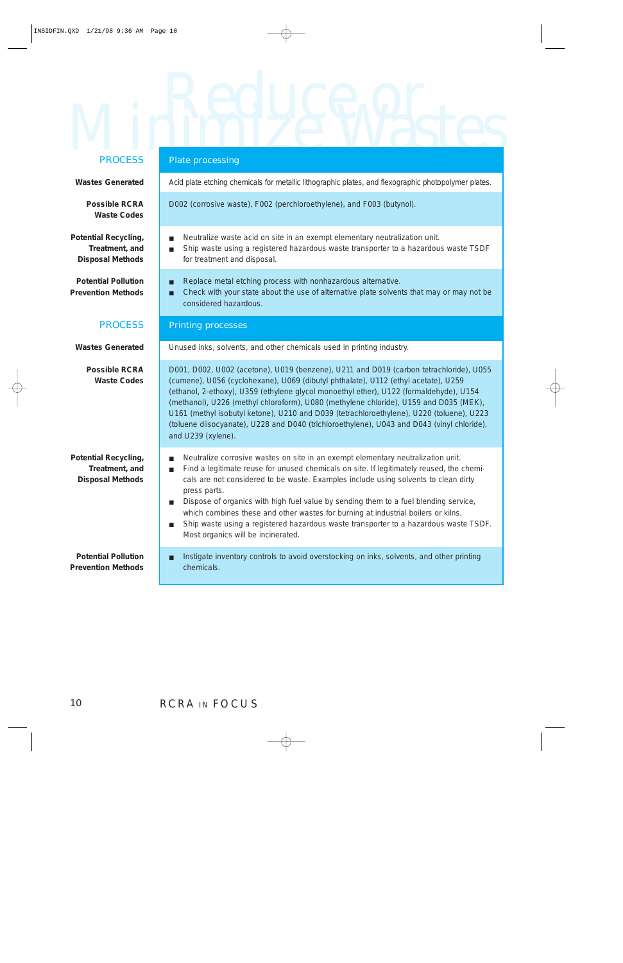# Minimize Wastes Plate processing PROCESS

| <b>PRUGESS</b>                                                           | <b>Plate processing</b>                                                                                                                                                                                                                                                                                                                                                                                                                                                                                                                                                                                                                                   |  |  |  |
|--------------------------------------------------------------------------|-----------------------------------------------------------------------------------------------------------------------------------------------------------------------------------------------------------------------------------------------------------------------------------------------------------------------------------------------------------------------------------------------------------------------------------------------------------------------------------------------------------------------------------------------------------------------------------------------------------------------------------------------------------|--|--|--|
| <b>Wastes Generated</b>                                                  | Acid plate etching chemicals for metallic lithographic plates, and flexographic photopolymer plates.                                                                                                                                                                                                                                                                                                                                                                                                                                                                                                                                                      |  |  |  |
| <b>Possible RCRA</b><br><b>Waste Codes</b>                               | D002 (corrosive waste), F002 (perchloroethylene), and F003 (butynol).                                                                                                                                                                                                                                                                                                                                                                                                                                                                                                                                                                                     |  |  |  |
| <b>Potential Recycling,</b><br>Treatment, and<br><b>Disposal Methods</b> | Neutralize waste acid on site in an exempt elementary neutralization unit.<br>п<br>Ship waste using a registered hazardous waste transporter to a hazardous waste TSDF<br>п<br>for treatment and disposal.                                                                                                                                                                                                                                                                                                                                                                                                                                                |  |  |  |
| <b>Potential Pollution</b><br><b>Prevention Methods</b>                  | Replace metal etching process with nonhazardous alternative.<br>П<br>Check with your state about the use of alternative plate solvents that may or may not be<br>П<br>considered hazardous.                                                                                                                                                                                                                                                                                                                                                                                                                                                               |  |  |  |
| <b>PROCESS</b>                                                           | <b>Printing processes</b>                                                                                                                                                                                                                                                                                                                                                                                                                                                                                                                                                                                                                                 |  |  |  |
| <b>Wastes Generated</b>                                                  | Unused inks, solvents, and other chemicals used in printing industry.                                                                                                                                                                                                                                                                                                                                                                                                                                                                                                                                                                                     |  |  |  |
| <b>Possible RCRA</b><br><b>Waste Codes</b>                               | D001, D002, U002 (acetone), U019 (benzene), U211 and D019 (carbon tetrachloride), U055<br>(cumene), U056 (cyclohexane), U069 (dibutyl phthalate), U112 (ethyl acetate), U259<br>(ethanol, 2-ethoxy), U359 (ethylene glycol monoethyl ether), U122 (formaldehyde), U154<br>(methanol), U226 (methyl chloroform), U080 (methylene chloride), U159 and D035 (MEK),<br>U161 (methyl isobutyl ketone), U210 and D039 (tetrachloroethylene), U220 (toluene), U223<br>(toluene diisocyanate), U228 and D040 (trichloroethylene), U043 and D043 (vinyl chloride),<br>and U239 (xylene).                                                                           |  |  |  |
| <b>Potential Recycling,</b><br>Treatment, and<br><b>Disposal Methods</b> | Neutralize corrosive wastes on site in an exempt elementary neutralization unit.<br>П<br>Find a legitimate reuse for unused chemicals on site. If legitimately reused, the chemi-<br>$\blacksquare$<br>cals are not considered to be waste. Examples include using solvents to clean dirty<br>press parts.<br>Dispose of organics with high fuel value by sending them to a fuel blending service,<br>$\mathcal{L}_{\mathcal{A}}$<br>which combines these and other wastes for burning at industrial boilers or kilns.<br>Ship waste using a registered hazardous waste transporter to a hazardous waste TSDF.<br>■<br>Most organics will be incinerated. |  |  |  |
| <b>Potential Pollution</b><br><b>Prevention Methods</b>                  | Instigate inventory controls to avoid overstocking on inks, solvents, and other printing<br>П<br>chemicals.                                                                                                                                                                                                                                                                                                                                                                                                                                                                                                                                               |  |  |  |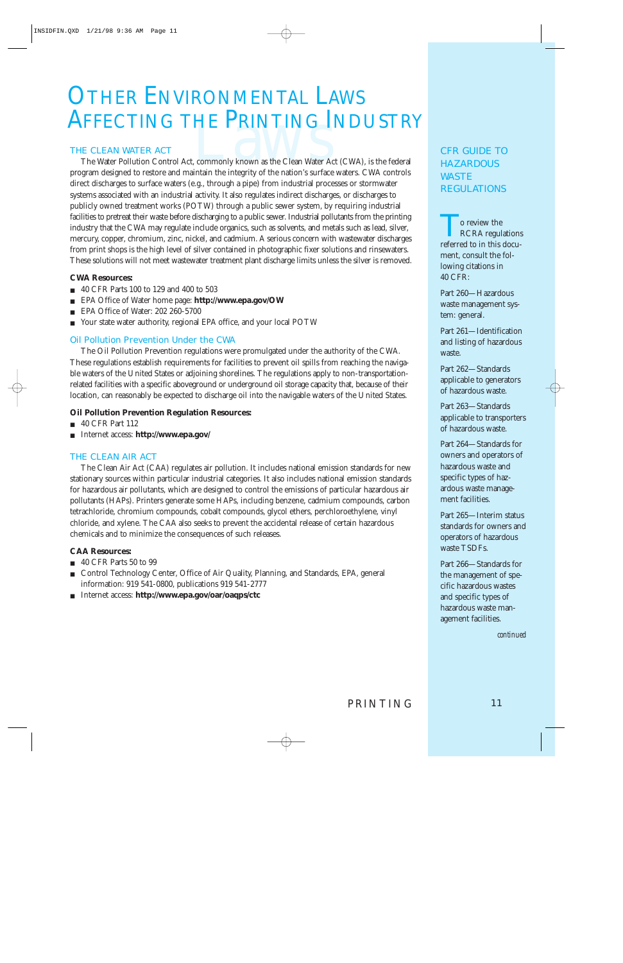# <span id="page-11-0"></span>**OTHER ENVIRONMENTAL LAWS**

#### THE CLEAN WATER ACT

**AFFECTING THE PRINTING INDUSTRY**<br>THE CLEAN WATER ACT<br>The Water Pollution Control Act, commonly known as the Clean Water Act (CWA), is the federal<br>program designed to restore and maintain the integrity of the nation's surf The Water Pollution Control Act, commonly known as the Clean Water Act (CWA), is the federal program designed to restore and maintain the integrity of the nation's surface waters. CWA controls direct discharges to surface waters (e.g., through a pipe) from industrial processes or stormwater systems associated with an industrial activity. It also regulates indirect discharges, or discharges to publicly owned treatment works (POTW) through a public sewer system, by requiring industrial facilities to pretreat their waste before discharging to a public sewer. Industrial pollutants from the printing industry that the CWA may regulate include organics, such as solvents, and metals such as lead, silver, mercury, copper, chromium, zinc, nickel, and cadmium. A serious concern with wastewater discharges from print shops is the high level of silver contained in photographic fixer solutions and rinsewaters. These solutions will not meet wastewater treatment plant discharge limits unless the silver is removed.

#### **CWA Resources:**

- 40 CFR Parts 100 to 129 and 400 to 503
- EPA Office of Water home page: **http://www.epa.gov/OW**
- EPA Office of Water: 202 260-5700
- Your state water authority, regional EPA office, and your local POTW

#### Oil Pollution Prevention Under the CWA

The Oil Pollution Prevention regulations were promulgated under the authority of the CWA. These regulations establish requirements for facilities to prevent oil spills from reaching the navigable waters of the United States or adjoining shorelines. The regulations apply to non-transportationrelated facilities with a specific aboveground or underground oil storage capacity that, because of their location, can reasonably be expected to discharge oil into the navigable waters of the United States.

#### **Oil Pollution Prevention Regulation Resources:**

- 40 CFR Part 112
- Internet access: **http://www.epa.gov/**

#### THE CLEAN AIR ACT

The Clean Air Act (CAA) regulates air pollution. It includes national emission standards for new stationary sources within particular industrial categories. It also includes national emission standards for hazardous air pollutants, which are designed to control the emissions of particular hazardous air pollutants (HAPs). Printers generate some HAPs, including benzene, cadmium compounds, carbon tetrachloride, chromium compounds, cobalt compounds, glycol ethers, perchloroethylene, vinyl chloride, and xylene. The CAA also seeks to prevent the accidental release of certain hazardous chemicals and to minimize the consequences of such releases.

#### **CAA Resources:**

- 40 CFR Parts 50 to 99
- Control Technology Center, Office of Air Quality, Planning, and Standards, EPA, general information: 919 541-0800, publications 919 541-2777
- Internet access: **http://www.epa.gov/oar/oaqps/ctc**

#### CFR GUIDE TO **HAZARDOUS** WASTE REGULATIONS

**To review the** RCRA regulations referred to in this document, consult the following citations in 40 CFR:

Part 260—Hazardous waste management system: general.

Part 261—Identification and listing of hazardous waste.

Part 262—Standards applicable to generators of hazardous waste.

Part 263—Standards applicable to transporters of hazardous waste.

Part 264—Standards for owners and operators of hazardous waste and specific types of hazardous waste management facilities.

Part 265—Interim status standards for owners and operators of hazardous waste TSDFs.

Part 266—Standards for the management of specific hazardous wastes and specific types of hazardous waste management facilities.

*continued*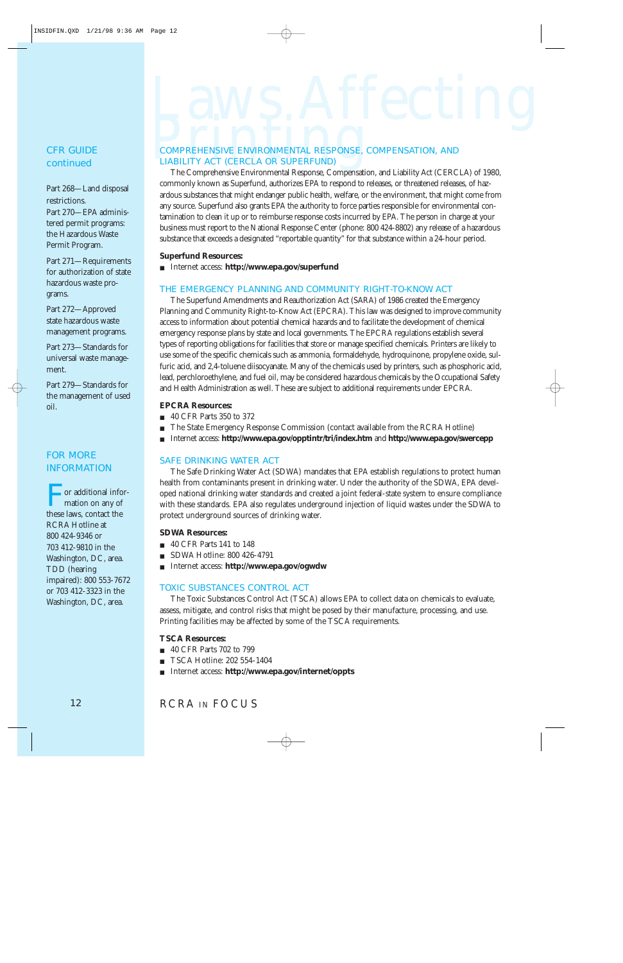#### CFR GUIDE *continued*

Part 268—Land disposal restrictions. Part 270—EPA administered permit programs: the Hazardous Waste Permit Program.

Part 271—Requirements for authorization of state hazardous waste programs.

Part 272—Approved state hazardous waste management programs.

Part 273—Standards for universal waste management.

Part 279—Standards for the management of used oil.

#### FOR MORE INFORMATION

or additional information on any of these laws, contact the RCRA Hotline at 800 424-9346 or 703 412-9810 in the Washington, DC, area. TDD (hearing impaired): 800 553-7672 or 703 412-3323 in the Washington, DC, area.

# $L_{{\sf{A}},{\sf{N}}}\left\{ \sum_{i}A_{i}}\right\}$

## LIABILITY ACT (CERCLA OR SUPERFUND)

The Comprehensive Environmental Response, Compensation, and Liability Act (CERCLA) of 1980, commonly known as Superfund, authorizes EPA to respond to releases, or threatened releases, of hazardous substances that might endanger public health, welfare, or the environment, that might come from any source. Superfund also grants EPA the authority to force parties responsible for environmental contamination to clean it up or to reimburse response costs incurred by EPA. The person in charge at your business must report to the National Response Center (phone: 800 424-8802) any release of a hazardous substance that exceeds a designated "reportable quantity" for that substance within a 24-hour period.

#### **Superfund Resources:**

■ Internet access: **http://www.epa.gov/superfund**

#### THE EMERGENCY PLANNING AND COMMUNITY RIGHT-TO-KNOW ACT

The Superfund Amendments and Reauthorization Act (SARA) of 1986 created the Emergency Planning and Community Right-to-Know Act (EPCRA). This law was designed to improve community access to information about potential chemical hazards and to facilitate the development of chemical emergency response plans by state and local governments. The EPCRA regulations establish several types of reporting obligations for facilities that store or manage specified chemicals. Printers are likely to use some of the specific chemicals such as ammonia, formaldehyde, hydroquinone, propylene oxide, sulfuric acid, and 2,4-toluene diisocyanate. Many of the chemicals used by printers, such as phosphoric acid, lead, perchloroethylene, and fuel oil, may be considered hazardous chemicals by the Occupational Safety and Health Administration as well. These are subject to additional requirements under EPCRA.

#### **EPCRA Resources:**

- 40 CFR Parts 350 to 372
- The State Emergency Response Commission (contact available from the RCRA Hotline)
- Internet access: **http://www.epa.gov/opptintr/tri/index.htm** and **http://www.epa.gov/swercepp**

#### SAFE DRINKING WATER ACT

The Safe Drinking Water Act (SDWA) mandates that EPA establish regulations to protect human health from contaminants present in drinking water. Under the authority of the SDWA, EPA developed national drinking water standards and created a joint federal-state system to ensure compliance with these standards. EPA also regulates underground injection of liquid wastes under the SDWA to protect underground sources of drinking water.

#### **SDWA Resources:**

- 40 CFR Parts 141 to 148
- SDWA Hotline: 800 426-4791
- Internet access: **http://www.epa.gov/ogwdw**

#### TOXIC SUBSTANCES CONTROL ACT

The Toxic Substances Control Act (TSCA) allows EPA to collect data on chemicals to evaluate, assess, mitigate, and control risks that might be posed by their manufacture, processing, and use. Printing facilities may be affected by some of the TSCA requirements.

#### **TSCA Resources:**

- 40 CFR Parts 702 to 799
- TSCA Hotline: 202 554-1404
- Internet access: **http://www.epa.gov/internet/oppts**

#### RCRA IN FOCUS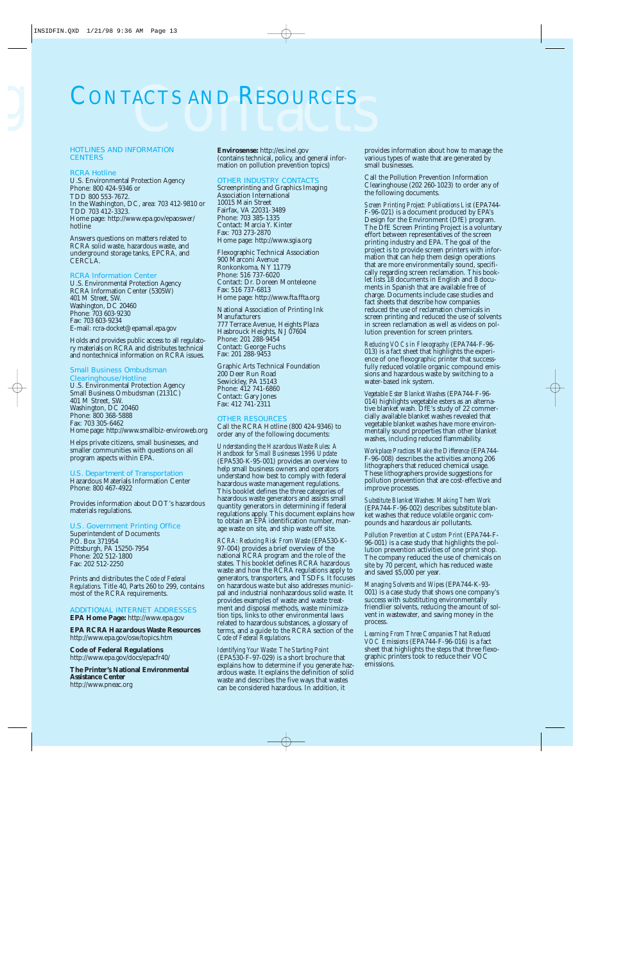# <span id="page-13-0"></span>CONTACTS AND RESOURCES CONTACTS AND RESOURCES

#### HOTLINES AND INFORMATION **CENTERS**

#### RCRA Hotline

U.S. Environmental Protection Agency Phone: 800 424-9346 or TDD 800 553-7672. In the Washington, DC, area: 703 412-9810 or TDD 703 412-3323. Home page: http://www.epa.gov/epaoswer/ hotline

Answers questions on matters related to RCRA solid waste, hazardous waste, and underground storage tanks, EPCRA, and CERCLA.

#### RCRA Information Center

U.S. Environmental Protection Agency RCRA Information Center (5305W) 401 M Street, SW. Washington, DC 20460 Phone: 703 603-9230 Fax: 703 603-9234 E-mail: rcra-docket@epamail.epa.gov

Holds and provides public access to all regulatory materials on RCRA and distributes technical and nontechnical information on RCRA issues.

#### Small Business Ombudsman

Clearinghouse/Hotline U.S. Environmental Protection Agency Small Business Ombudsman (2131C) 401 M Street, SW. Washington, DC 20460 Phone: 800 368-5888 Fax: 703 305-6462 Home page: http://www.smallbiz-enviroweb.org

Helps private citizens, small businesses, and smaller communities with questions on all program aspects within EPA.

#### U.S. Department of Transportation

Hazardous Materials Information Center Phone: 800 467-4922

Provides information about DOT's hazardous materials regulations.

#### U.S. Government Printing Office

Superintendent of Documents P.O. Box 371954 Pittsburgh, PA 15250-7954 Phone: 202 512-1800 Fax: 202 512-2250

Prints and distributes the *Code of Federal Regulations.* Title 40, Parts 260 to 299, contains most of the RCRA requirements.

#### ADDITIONAL INTERNET ADDRESSES

**EPA Home Page:** http://www.epa.gov

**EPA RCRA Hazardous Waste Resources** http://www.epa.gov/osw/topics.htm

**Code of Federal Regulations** http://www.epa.gov/docs/epacfr40/

**The Printer's National Environmental Assistance Center** http://www.pneac.org

**Envirosense:** http://es.inel.gov (contains technical, policy, and general information on pollution prevention topics)

#### OTHER INDUSTRY CONTACTS

Screenprinting and Graphics Imaging Association International 10015 Main Street Fairfax, VA 22031-3489 Phone: 703 385-1335 Contact: Marcia Y. Kinter Fax: 703 273-2870 Home page: http://www.sgia.org

Flexographic Technical Association 900 Marconi Avenue Ronkonkoma, NY 11779 Phone: 516 737-6020 Contact: Dr. Doreen Monteleone Fax: 516 737-6813 Home page: http://www.fta.ffta.org

National Association of Printing Ink Manufacturers 777 Terrace Avenue, Heights Plaza Hasbrouck Heights, NJ 07604 Phone: 201 288-9454 Contact: George Fuchs Fax: 201 288-9453

Graphic Arts Technical Foundation 200 Deer Run Road Sewickley, PA 15143 Phone: 412 741-6860 Contact: Gary Jones Fax: 412 741-2311

#### OTHER RESOURCES

Call the RCRA Hotline (800 424-9346) to order any of the following documents:

*Understanding the Hazardous Waste Rules: A Handbook for Small Businesses 1996 Update* (EPA530-K-95-001) provides an overview to help small business owners and operators understand how best to comply with federal hazardous waste management regulations. This booklet defines the three categories of hazardous waste generators and assists small quantity generators in determining if federal regulations apply. This document explains how to obtain an EPA identification number, manage waste on site, and ship waste off site.

*RCRA: Reducing Risk From Waste* (EPA530-K-97-004) provides a brief overview of the national RCRA program and the role of the states. This booklet defines RCRA hazardous waste and how the RCRA regulations apply to generators, transporters, and TSDFs. It focuses on hazardous waste but also addresses municipal and industrial nonhazardous solid waste. It provides examples of waste and waste treatment and disposal methods, waste minimization tips, links to other environmental laws related to hazardous substances, a glossary of terms, and a guide to the RCRA section of the *Code of Federal Regulations.*

*Identifying Your Waste: The Starting Point* (EPA530-F-97-029) is a short brochure that explains how to determine if you generate hazardous waste. It explains the definition of solid waste and describes the five ways that wastes can be considered hazardous. In addition, it

provides information about how to manage the various types of waste that are generated by small businesses.

Call the Pollution Prevention Information Clearinghouse (202 260-1023) to order any of the following documents.

*Screen Printing Project: Publications List* (EPA744- F-96-021) is a document produced by EPA's Design for the Environment (DfE) program. The DfE Screen Printing Project is a voluntary effort between representatives of the screen printing industry and EPA. The goal of the project is to provide screen printers with information that can help them design operations that are more environmentally sound, specifically regarding screen reclamation. This booklet lists 18 documents in English and 8 documents in Spanish that are available free of charge. Documents include case studies and fact sheets that describe how companies reduced the use of reclamation chemicals in screen printing and reduced the use of solvents in screen reclamation as well as videos on pollution prevention for screen printers.

*Reducing VOCs in Flexography* (EPA744-F-96- 013) is a fact sheet that highlights the experience of one flexographic printer that successfully reduced volatile organic compound emissions and hazardous waste by switching to a water-based ink system.

*Vegetable Ester Blanket Washes* (EPA744-F-96- 014) highlights vegetable esters as an alternative blanket wash. DfE's study of 22 commercially available blanket washes revealed that vegetable blanket washes have more environmentally sound properties than other blanket washes, including reduced flammability.

*Workplace Practices Make the Difference* (EPA744- F-96-008) describes the activities among 206 lithographers that reduced chemical usage. These lithographers provide suggestions for pollution prevention that are cost-effective and improve processes.

*Substitute Blanket Washes: Making Them Work* (EPA744-F-96-002) describes substitute blanket washes that reduce volatile organic compounds and hazardous air pollutants.

*Pollution Prevention at Custom Print* (EPA744-F-96-001) is a case study that highlights the pollution prevention activities of one print shop. The company reduced the use of chemicals on site by 70 percent, which has reduced waste and saved \$5,000 per year.

*Managing Solvents and Wipes* (EPA744-K-93- 001) is a case study that shows one company's success with substituting environmentally friendlier solvents, reducing the amount of solvent in wastewater, and saving money in the process.

*Learning From Three Companies That Reduced VOC Emissions* (EPA744-F-96-016) is a fact sheet that highlights the steps that three flexographic printers took to reduce their VOC emissions.